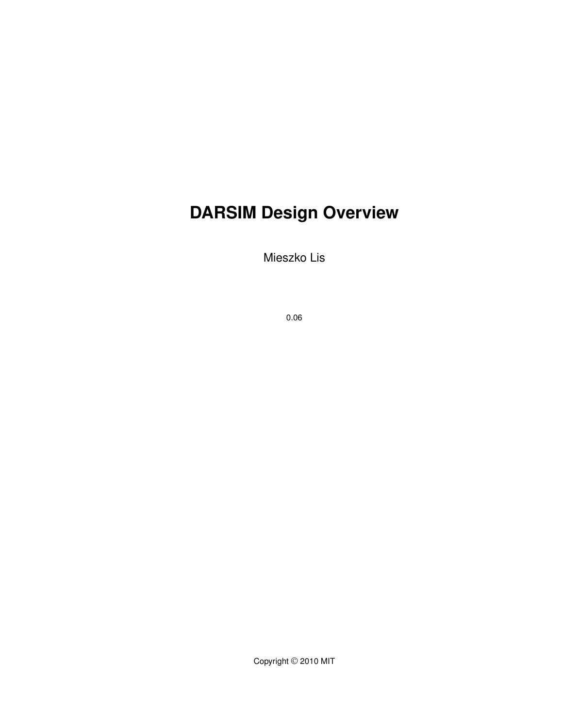# **DARSIM Design Overview**

Mieszko Lis

0.06

Copyright © 2010 MIT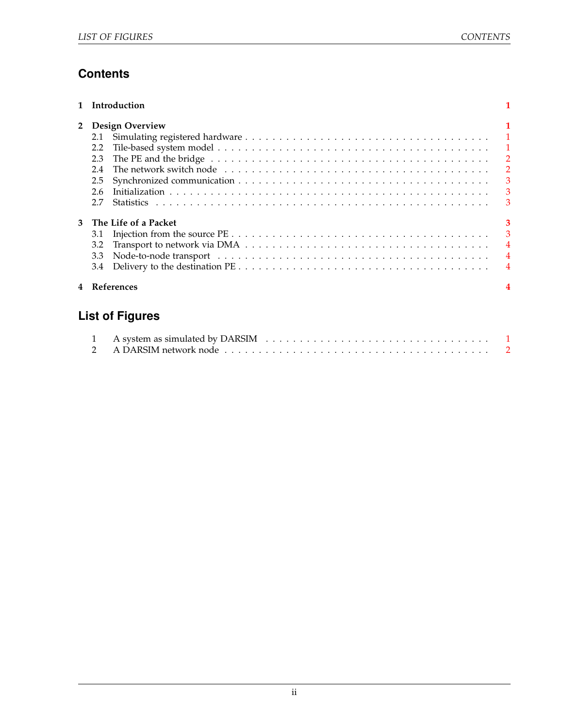# **Contents**

|                | Introduction                                                            |                                                                                                                                       |
|----------------|-------------------------------------------------------------------------|---------------------------------------------------------------------------------------------------------------------------------------|
| $\overline{2}$ | <b>Design Overview</b><br>2.1<br>2.2<br>2.3<br>2.4<br>2.5<br>2.6<br>2.7 | $\overline{1}$<br>$\overline{\phantom{0}}$ 2<br>$\overline{2}$<br>$\overline{\mathbf{3}}$<br>$\overline{\mathbf{3}}$<br>$\mathcal{B}$ |
| 3              | The Life of a Packet<br>3.1<br>3.2<br>3.3<br>3.4                        | 3<br>3<br>$\overline{4}$<br>$\overline{4}$                                                                                            |
|                | References                                                              |                                                                                                                                       |

# **List of Figures**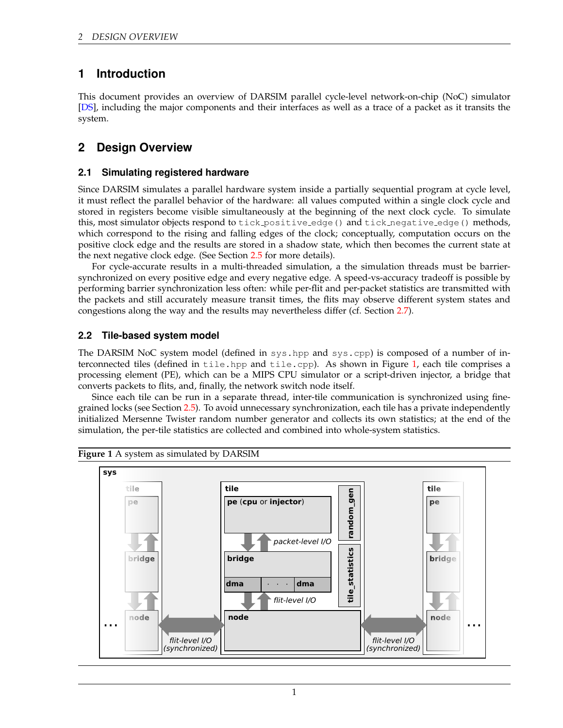# <span id="page-2-0"></span>**1 Introduction**

This document provides an overview of DARSIM parallel cycle-level network-on-chip (NoC) simulator [\[DS\]](#page-5-4), including the major components and their interfaces as well as a trace of a packet as it transits the system.

# <span id="page-2-1"></span>**2 Design Overview**

#### <span id="page-2-2"></span>**2.1 Simulating registered hardware**

Since DARSIM simulates a parallel hardware system inside a partially sequential program at cycle level, it must reflect the parallel behavior of the hardware: all values computed within a single clock cycle and stored in registers become visible simultaneously at the beginning of the next clock cycle. To simulate this, most simulator objects respond to tick positive edge() and tick negative edge() methods, which correspond to the rising and falling edges of the clock; conceptually, computation occurs on the positive clock edge and the results are stored in a shadow state, which then becomes the current state at the next negative clock edge. (See Section [2.5](#page-4-0) for more details).

For cycle-accurate results in a multi-threaded simulation, a the simulation threads must be barriersynchronized on every positive edge and every negative edge. A speed-vs-accuracy tradeoff is possible by performing barrier synchronization less often: while per-flit and per-packet statistics are transmitted with the packets and still accurately measure transit times, the flits may observe different system states and congestions along the way and the results may nevertheless differ (cf. Section [2.7\)](#page-4-2).

#### <span id="page-2-3"></span>**2.2 Tile-based system model**

The DARSIM NoC system model (defined in sys.hpp and sys.cpp) is composed of a number of in-terconnected tiles (defined in tile.hpp and tile.cpp). As shown in Figure [1,](#page-2-4) each tile comprises a processing element (PE), which can be a MIPS CPU simulator or a script-driven injector, a bridge that converts packets to flits, and, finally, the network switch node itself.

Since each tile can be run in a separate thread, inter-tile communication is synchronized using finegrained locks (see Section [2.5\)](#page-4-0). To avoid unnecessary synchronization, each tile has a private independently initialized Mersenne Twister random number generator and collects its own statistics; at the end of the simulation, the per-tile statistics are collected and combined into whole-system statistics.



<span id="page-2-4"></span>**Figure 1** A system as simulated by DARSIM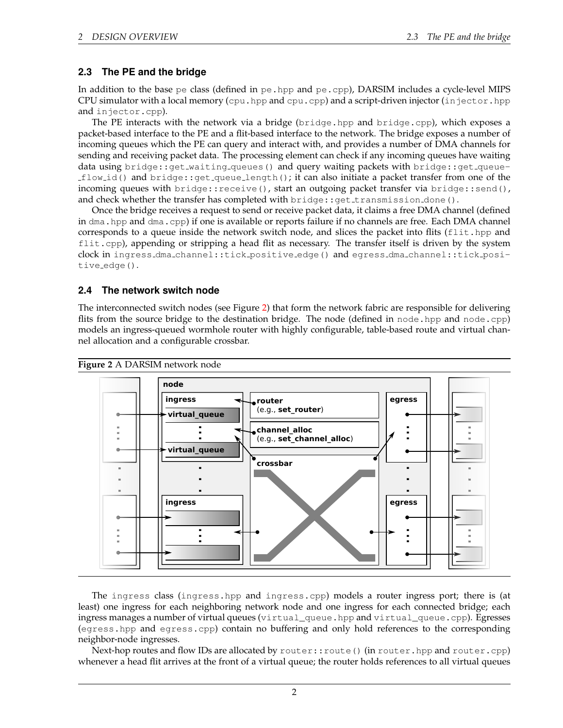#### <span id="page-3-0"></span>**2.3 The PE and the bridge**

In addition to the base pe class (defined in pe. hpp and pe. cpp), DARSIM includes a cycle-level MIPS CPU simulator with a local memory (cpu.hpp and cpu.cpp) and a script-driven injector (in jector.hpp and injector.cpp).

The PE interacts with the network via a bridge (bridge.hpp and bridge.cpp), which exposes a packet-based interface to the PE and a flit-based interface to the network. The bridge exposes a number of incoming queues which the PE can query and interact with, and provides a number of DMA channels for sending and receiving packet data. The processing element can check if any incoming queues have waiting data using bridge::get\_waiting\_queues() and query waiting packets with bridge::get\_queueflow id() and bridge::get queue length(); it can also initiate a packet transfer from one of the incoming queues with bridge::receive(), start an outgoing packet transfer via bridge::send(), and check whether the transfer has completed with  $\text{bridge::get}$  transmission done().

Once the bridge receives a request to send or receive packet data, it claims a free DMA channel (defined in dma.hpp and dma.cpp) if one is available or reports failure if no channels are free. Each DMA channel corresponds to a queue inside the network switch node, and slices the packet into flits ( $f$ lit.hpp and flit.cpp), appending or stripping a head flit as necessary. The transfer itself is driven by the system clock in ingress dma channel::tick positive edge() and egress dma channel::tick positive edge().

#### <span id="page-3-1"></span>**2.4 The network switch node**

The interconnected switch nodes (see Figure [2\)](#page-3-2) that form the network fabric are responsible for delivering flits from the source bridge to the destination bridge. The node (defined in node.hpp and node.cpp) models an ingress-queued wormhole router with highly configurable, table-based route and virtual channel allocation and a configurable crossbar.

<span id="page-3-2"></span>

The ingress class (ingress.hpp and ingress.cpp) models a router ingress port; there is (at least) one ingress for each neighboring network node and one ingress for each connected bridge; each ingress manages a number of virtual queues (virtual\_queue.hpp and virtual\_queue.cpp). Egresses (egress.hpp and egress.cpp) contain no buffering and only hold references to the corresponding neighbor-node ingresses.

Next-hop routes and flow IDs are allocated by router::route() (in router.hpp and router.cpp) whenever a head flit arrives at the front of a virtual queue; the router holds references to all virtual queues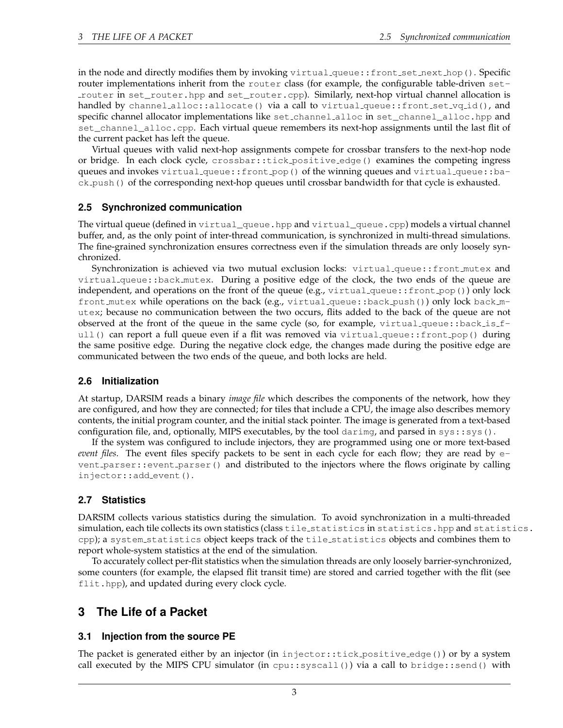in the node and directly modifies them by invoking virtual queue::front set next hop(). Specific router implementations inherit from the router class (for example, the configurable table-driven setrouter in set\_router.hpp and set\_router.cpp). Similarly, next-hop virtual channel allocation is handled by channel alloc::allocate() via a call to virtual queue::front set vq id(), and specific channel allocator implementations like set channel alloc in set\_channel\_alloc.hpp and set\_channel\_alloc.cpp. Each virtual queue remembers its next-hop assignments until the last flit of the current packet has left the queue.

Virtual queues with valid next-hop assignments compete for crossbar transfers to the next-hop node or bridge. In each clock cycle, crossbar::tick positive edge() examines the competing ingress queues and invokes virtual queue::front pop() of the winning queues and virtual queue::back push() of the corresponding next-hop queues until crossbar bandwidth for that cycle is exhausted.

#### <span id="page-4-0"></span>**2.5 Synchronized communication**

The virtual queue (defined in virtual\_queue.hpp and virtual\_queue.cpp) models a virtual channel buffer, and, as the only point of inter-thread communication, is synchronized in multi-thread simulations. The fine-grained synchronization ensures correctness even if the simulation threads are only loosely synchronized.

Synchronization is achieved via two mutual exclusion locks: virtual queue::front mutex and virtual queue::back mutex. During a positive edge of the clock, the two ends of the queue are independent, and operations on the front of the queue (e.g.,  $virtual\_queue::front\_pop()$ ) only lock front mutex while operations on the back (e.g., virtual queue::back push()) only lock back mutex; because no communication between the two occurs, flits added to the back of the queue are not observed at the front of the queue in the same cycle (so, for example, virtual queue::back\_is\_full() can report a full queue even if a flit was removed via virtual queue::front pop() during the same positive edge. During the negative clock edge, the changes made during the positive edge are communicated between the two ends of the queue, and both locks are held.

#### <span id="page-4-1"></span>**2.6 Initialization**

At startup, DARSIM reads a binary *image file* which describes the components of the network, how they are configured, and how they are connected; for tiles that include a CPU, the image also describes memory contents, the initial program counter, and the initial stack pointer. The image is generated from a text-based configuration file, and, optionally, MIPS executables, by the tool darimg, and parsed in  $sys:sys()$ .

If the system was configured to include injectors, they are programmed using one or more text-based *event files*. The event files specify packets to be sent in each cycle for each flow; they are read by event parser::event parser() and distributed to the injectors where the flows originate by calling injector::add event().

#### <span id="page-4-2"></span>**2.7 Statistics**

DARSIM collects various statistics during the simulation. To avoid synchronization in a multi-threaded simulation, each tile collects its own statistics (class tile\_statistics in statistics.hpp and statistics. cpp); a system\_statistics object keeps track of the tile\_statistics objects and combines them to report whole-system statistics at the end of the simulation.

To accurately collect per-flit statistics when the simulation threads are only loosely barrier-synchronized, some counters (for example, the elapsed flit transit time) are stored and carried together with the flit (see flit.hpp), and updated during every clock cycle.

## <span id="page-4-3"></span>**3 The Life of a Packet**

#### <span id="page-4-4"></span>**3.1 Injection from the source PE**

The packet is generated either by an injector (in injector::tick positive edge()) or by a system call executed by the MIPS CPU simulator (in cpu::syscall()) via a call to bridge::send() with